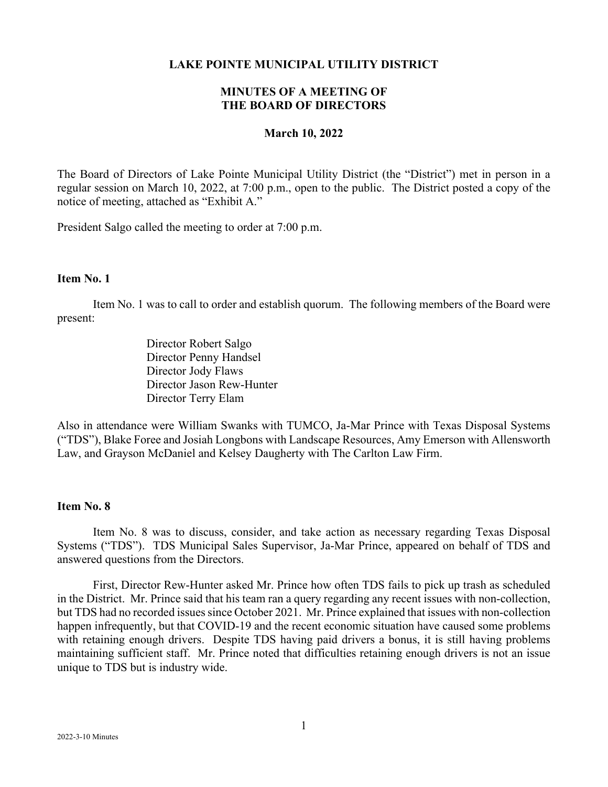#### **LAKE POINTE MUNICIPAL UTILITY DISTRICT**

## **MINUTES OF A MEETING OF THE BOARD OF DIRECTORS**

#### **March 10, 2022**

The Board of Directors of Lake Pointe Municipal Utility District (the "District") met in person in a regular session on March 10, 2022, at 7:00 p.m., open to the public. The District posted a copy of the notice of meeting, attached as "Exhibit A."

President Salgo called the meeting to order at 7:00 p.m.

## **Item No. 1**

Item No. 1 was to call to order and establish quorum. The following members of the Board were present:

> Director Robert Salgo Director Penny Handsel Director Jody Flaws Director Jason Rew-Hunter Director Terry Elam

Also in attendance were William Swanks with TUMCO, Ja-Mar Prince with Texas Disposal Systems ("TDS"), Blake Foree and Josiah Longbons with Landscape Resources, Amy Emerson with Allensworth Law, and Grayson McDaniel and Kelsey Daugherty with The Carlton Law Firm.

## **Item No. 8**

Item No. 8 was to discuss, consider, and take action as necessary regarding Texas Disposal Systems ("TDS"). TDS Municipal Sales Supervisor, Ja-Mar Prince, appeared on behalf of TDS and answered questions from the Directors.

First, Director Rew-Hunter asked Mr. Prince how often TDS fails to pick up trash as scheduled in the District. Mr. Prince said that his team ran a query regarding any recent issues with non-collection, but TDS had no recorded issues since October 2021. Mr. Prince explained that issues with non-collection happen infrequently, but that COVID-19 and the recent economic situation have caused some problems with retaining enough drivers. Despite TDS having paid drivers a bonus, it is still having problems maintaining sufficient staff. Mr. Prince noted that difficulties retaining enough drivers is not an issue unique to TDS but is industry wide.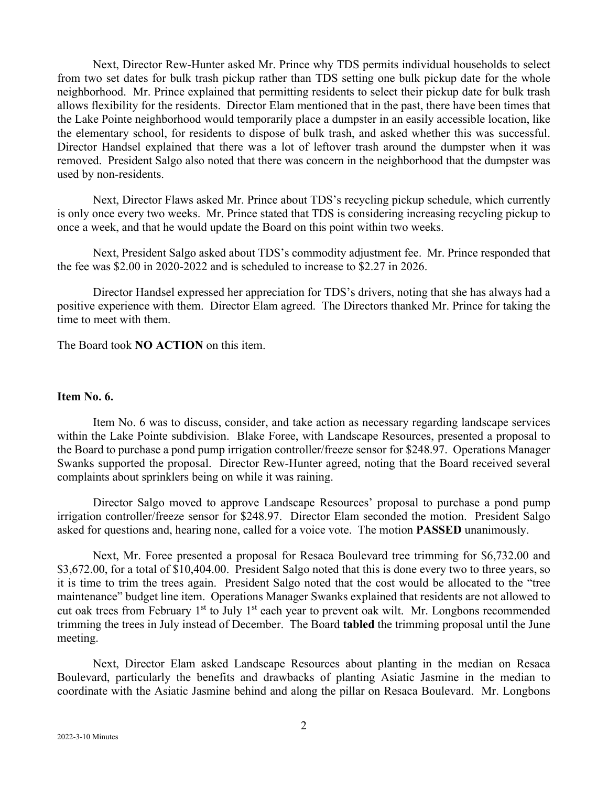Next, Director Rew-Hunter asked Mr. Prince why TDS permits individual households to select from two set dates for bulk trash pickup rather than TDS setting one bulk pickup date for the whole neighborhood. Mr. Prince explained that permitting residents to select their pickup date for bulk trash allows flexibility for the residents. Director Elam mentioned that in the past, there have been times that the Lake Pointe neighborhood would temporarily place a dumpster in an easily accessible location, like the elementary school, for residents to dispose of bulk trash, and asked whether this was successful. Director Handsel explained that there was a lot of leftover trash around the dumpster when it was removed. President Salgo also noted that there was concern in the neighborhood that the dumpster was used by non-residents.

Next, Director Flaws asked Mr. Prince about TDS's recycling pickup schedule, which currently is only once every two weeks. Mr. Prince stated that TDS is considering increasing recycling pickup to once a week, and that he would update the Board on this point within two weeks.

Next, President Salgo asked about TDS's commodity adjustment fee. Mr. Prince responded that the fee was \$2.00 in 2020-2022 and is scheduled to increase to \$2.27 in 2026.

Director Handsel expressed her appreciation for TDS's drivers, noting that she has always had a positive experience with them. Director Elam agreed. The Directors thanked Mr. Prince for taking the time to meet with them.

The Board took **NO ACTION** on this item.

#### **Item No. 6.**

Item No. 6 was to discuss, consider, and take action as necessary regarding landscape services within the Lake Pointe subdivision. Blake Foree, with Landscape Resources, presented a proposal to the Board to purchase a pond pump irrigation controller/freeze sensor for \$248.97. Operations Manager Swanks supported the proposal. Director Rew-Hunter agreed, noting that the Board received several complaints about sprinklers being on while it was raining.

Director Salgo moved to approve Landscape Resources' proposal to purchase a pond pump irrigation controller/freeze sensor for \$248.97. Director Elam seconded the motion. President Salgo asked for questions and, hearing none, called for a voice vote. The motion **PASSED** unanimously.

Next, Mr. Foree presented a proposal for Resaca Boulevard tree trimming for \$6,732.00 and \$3,672.00, for a total of \$10,404.00. President Salgo noted that this is done every two to three years, so it is time to trim the trees again. President Salgo noted that the cost would be allocated to the "tree maintenance" budget line item. Operations Manager Swanks explained that residents are not allowed to cut oak trees from February  $1<sup>st</sup>$  to July  $1<sup>st</sup>$  each year to prevent oak wilt. Mr. Longbons recommended trimming the trees in July instead of December. The Board **tabled** the trimming proposal until the June meeting.

Next, Director Elam asked Landscape Resources about planting in the median on Resaca Boulevard, particularly the benefits and drawbacks of planting Asiatic Jasmine in the median to coordinate with the Asiatic Jasmine behind and along the pillar on Resaca Boulevard. Mr. Longbons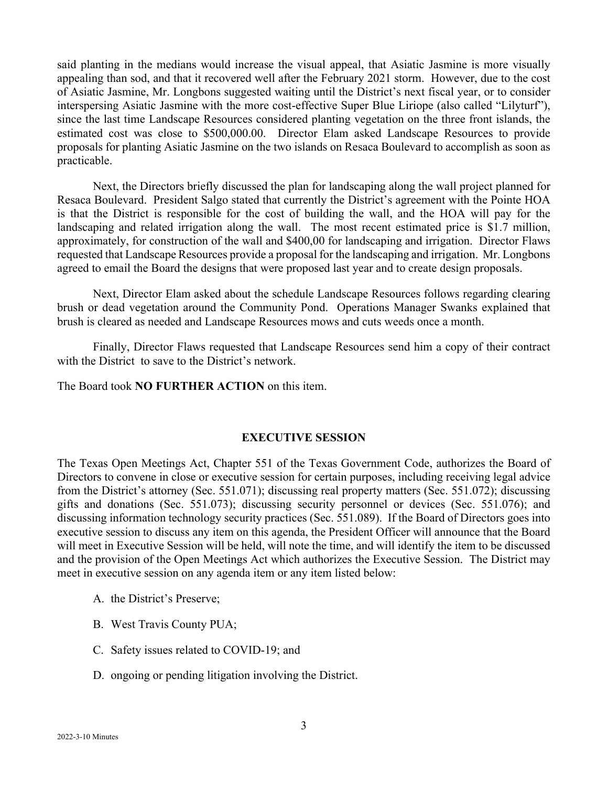said planting in the medians would increase the visual appeal, that Asiatic Jasmine is more visually appealing than sod, and that it recovered well after the February 2021 storm. However, due to the cost of Asiatic Jasmine, Mr. Longbons suggested waiting until the District's next fiscal year, or to consider interspersing Asiatic Jasmine with the more cost-effective Super Blue Liriope (also called "Lilyturf"), since the last time Landscape Resources considered planting vegetation on the three front islands, the estimated cost was close to \$500,000.00. Director Elam asked Landscape Resources to provide proposals for planting Asiatic Jasmine on the two islands on Resaca Boulevard to accomplish as soon as practicable.

Next, the Directors briefly discussed the plan for landscaping along the wall project planned for Resaca Boulevard. President Salgo stated that currently the District's agreement with the Pointe HOA is that the District is responsible for the cost of building the wall, and the HOA will pay for the landscaping and related irrigation along the wall. The most recent estimated price is \$1.7 million, approximately, for construction of the wall and \$400,00 for landscaping and irrigation. Director Flaws requested that Landscape Resources provide a proposal for the landscaping and irrigation. Mr. Longbons agreed to email the Board the designs that were proposed last year and to create design proposals.

Next, Director Elam asked about the schedule Landscape Resources follows regarding clearing brush or dead vegetation around the Community Pond. Operations Manager Swanks explained that brush is cleared as needed and Landscape Resources mows and cuts weeds once a month.

Finally, Director Flaws requested that Landscape Resources send him a copy of their contract with the District to save to the District's network.

The Board took **NO FURTHER ACTION** on this item.

## **EXECUTIVE SESSION**

The Texas Open Meetings Act, Chapter 551 of the Texas Government Code, authorizes the Board of Directors to convene in close or executive session for certain purposes, including receiving legal advice from the District's attorney (Sec. 551.071); discussing real property matters (Sec. 551.072); discussing gifts and donations (Sec. 551.073); discussing security personnel or devices (Sec. 551.076); and discussing information technology security practices (Sec. 551.089). If the Board of Directors goes into executive session to discuss any item on this agenda, the President Officer will announce that the Board will meet in Executive Session will be held, will note the time, and will identify the item to be discussed and the provision of the Open Meetings Act which authorizes the Executive Session. The District may meet in executive session on any agenda item or any item listed below:

- A. the District's Preserve;
- B. West Travis County PUA;
- C. Safety issues related to COVID-19; and
- D. ongoing or pending litigation involving the District.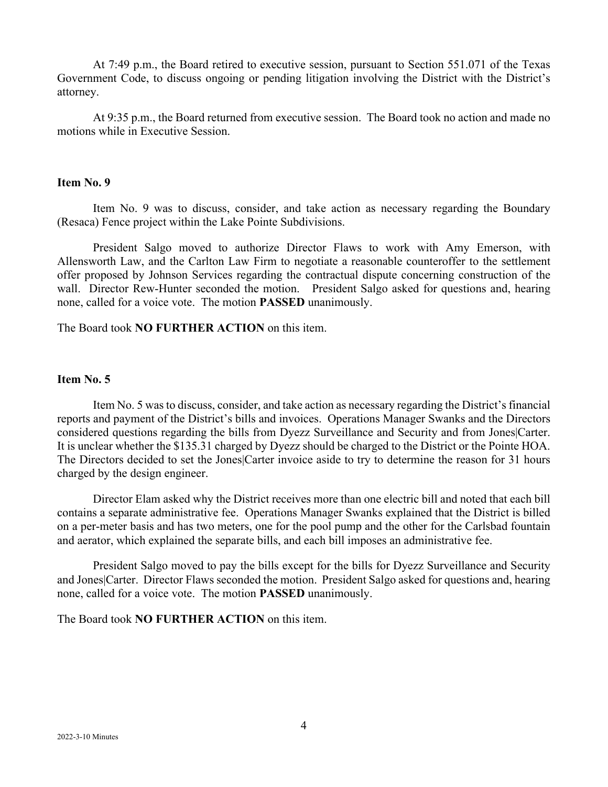At 7:49 p.m., the Board retired to executive session, pursuant to Section 551.071 of the Texas Government Code, to discuss ongoing or pending litigation involving the District with the District's attorney.

At 9:35 p.m., the Board returned from executive session. The Board took no action and made no motions while in Executive Session.

## **Item No. 9**

Item No. 9 was to discuss, consider, and take action as necessary regarding the Boundary (Resaca) Fence project within the Lake Pointe Subdivisions.

President Salgo moved to authorize Director Flaws to work with Amy Emerson, with Allensworth Law, and the Carlton Law Firm to negotiate a reasonable counteroffer to the settlement offer proposed by Johnson Services regarding the contractual dispute concerning construction of the wall. Director Rew-Hunter seconded the motion. President Salgo asked for questions and, hearing none, called for a voice vote. The motion **PASSED** unanimously.

The Board took **NO FURTHER ACTION** on this item.

## **Item No. 5**

Item No. 5 was to discuss, consider, and take action as necessary regarding the District's financial reports and payment of the District's bills and invoices. Operations Manager Swanks and the Directors considered questions regarding the bills from Dyezz Surveillance and Security and from Jones|Carter. It is unclear whether the \$135.31 charged by Dyezz should be charged to the District or the Pointe HOA. The Directors decided to set the Jones|Carter invoice aside to try to determine the reason for 31 hours charged by the design engineer.

Director Elam asked why the District receives more than one electric bill and noted that each bill contains a separate administrative fee. Operations Manager Swanks explained that the District is billed on a per-meter basis and has two meters, one for the pool pump and the other for the Carlsbad fountain and aerator, which explained the separate bills, and each bill imposes an administrative fee.

President Salgo moved to pay the bills except for the bills for Dyezz Surveillance and Security and Jones|Carter. Director Flaws seconded the motion. President Salgo asked for questions and, hearing none, called for a voice vote. The motion **PASSED** unanimously.

The Board took **NO FURTHER ACTION** on this item.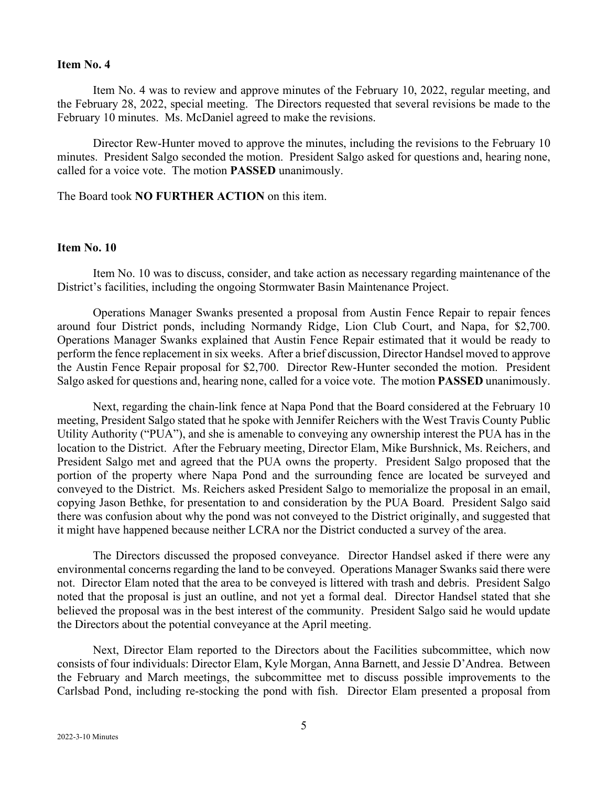#### **Item No. 4**

Item No. 4 was to review and approve minutes of the February 10, 2022, regular meeting, and the February 28, 2022, special meeting. The Directors requested that several revisions be made to the February 10 minutes. Ms. McDaniel agreed to make the revisions.

Director Rew-Hunter moved to approve the minutes, including the revisions to the February 10 minutes. President Salgo seconded the motion. President Salgo asked for questions and, hearing none, called for a voice vote. The motion **PASSED** unanimously.

The Board took **NO FURTHER ACTION** on this item.

## **Item No. 10**

Item No. 10 was to discuss, consider, and take action as necessary regarding maintenance of the District's facilities, including the ongoing Stormwater Basin Maintenance Project.

Operations Manager Swanks presented a proposal from Austin Fence Repair to repair fences around four District ponds, including Normandy Ridge, Lion Club Court, and Napa, for \$2,700. Operations Manager Swanks explained that Austin Fence Repair estimated that it would be ready to perform the fence replacement in six weeks. After a brief discussion, Director Handsel moved to approve the Austin Fence Repair proposal for \$2,700. Director Rew-Hunter seconded the motion. President Salgo asked for questions and, hearing none, called for a voice vote. The motion **PASSED** unanimously.

Next, regarding the chain-link fence at Napa Pond that the Board considered at the February 10 meeting, President Salgo stated that he spoke with Jennifer Reichers with the West Travis County Public Utility Authority ("PUA"), and she is amenable to conveying any ownership interest the PUA has in the location to the District. After the February meeting, Director Elam, Mike Burshnick, Ms. Reichers, and President Salgo met and agreed that the PUA owns the property. President Salgo proposed that the portion of the property where Napa Pond and the surrounding fence are located be surveyed and conveyed to the District. Ms. Reichers asked President Salgo to memorialize the proposal in an email, copying Jason Bethke, for presentation to and consideration by the PUA Board. President Salgo said there was confusion about why the pond was not conveyed to the District originally, and suggested that it might have happened because neither LCRA nor the District conducted a survey of the area.

The Directors discussed the proposed conveyance. Director Handsel asked if there were any environmental concerns regarding the land to be conveyed. Operations Manager Swanks said there were not. Director Elam noted that the area to be conveyed is littered with trash and debris. President Salgo noted that the proposal is just an outline, and not yet a formal deal. Director Handsel stated that she believed the proposal was in the best interest of the community. President Salgo said he would update the Directors about the potential conveyance at the April meeting.

Next, Director Elam reported to the Directors about the Facilities subcommittee, which now consists of four individuals: Director Elam, Kyle Morgan, Anna Barnett, and Jessie D'Andrea. Between the February and March meetings, the subcommittee met to discuss possible improvements to the Carlsbad Pond, including re-stocking the pond with fish. Director Elam presented a proposal from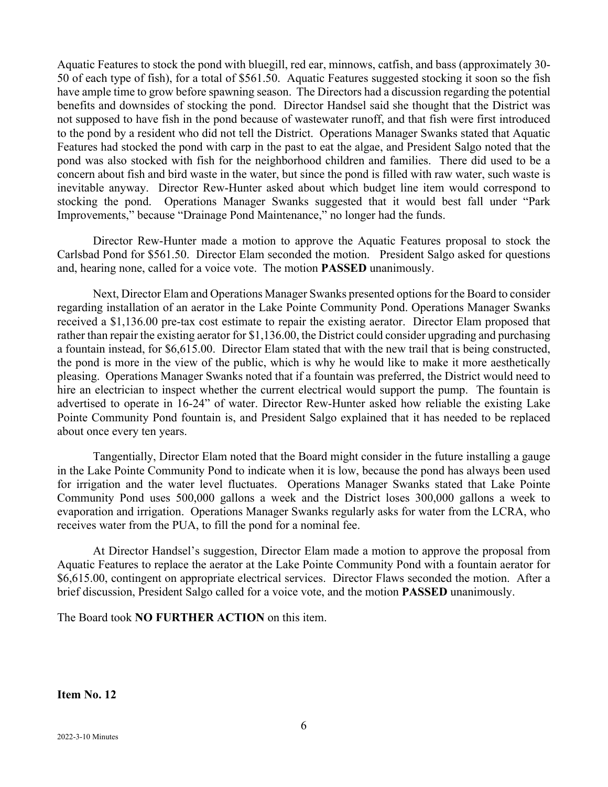Aquatic Features to stock the pond with bluegill, red ear, minnows, catfish, and bass (approximately 30- 50 of each type of fish), for a total of \$561.50. Aquatic Features suggested stocking it soon so the fish have ample time to grow before spawning season. The Directors had a discussion regarding the potential benefits and downsides of stocking the pond. Director Handsel said she thought that the District was not supposed to have fish in the pond because of wastewater runoff, and that fish were first introduced to the pond by a resident who did not tell the District. Operations Manager Swanks stated that Aquatic Features had stocked the pond with carp in the past to eat the algae, and President Salgo noted that the pond was also stocked with fish for the neighborhood children and families. There did used to be a concern about fish and bird waste in the water, but since the pond is filled with raw water, such waste is inevitable anyway. Director Rew-Hunter asked about which budget line item would correspond to stocking the pond. Operations Manager Swanks suggested that it would best fall under "Park Improvements," because "Drainage Pond Maintenance," no longer had the funds.

Director Rew-Hunter made a motion to approve the Aquatic Features proposal to stock the Carlsbad Pond for \$561.50. Director Elam seconded the motion. President Salgo asked for questions and, hearing none, called for a voice vote. The motion **PASSED** unanimously.

Next, Director Elam and Operations Manager Swanks presented options for the Board to consider regarding installation of an aerator in the Lake Pointe Community Pond. Operations Manager Swanks received a \$1,136.00 pre-tax cost estimate to repair the existing aerator. Director Elam proposed that rather than repair the existing aerator for \$1,136.00, the District could consider upgrading and purchasing a fountain instead, for \$6,615.00. Director Elam stated that with the new trail that is being constructed, the pond is more in the view of the public, which is why he would like to make it more aesthetically pleasing. Operations Manager Swanks noted that if a fountain was preferred, the District would need to hire an electrician to inspect whether the current electrical would support the pump. The fountain is advertised to operate in 16-24" of water. Director Rew-Hunter asked how reliable the existing Lake Pointe Community Pond fountain is, and President Salgo explained that it has needed to be replaced about once every ten years.

Tangentially, Director Elam noted that the Board might consider in the future installing a gauge in the Lake Pointe Community Pond to indicate when it is low, because the pond has always been used for irrigation and the water level fluctuates. Operations Manager Swanks stated that Lake Pointe Community Pond uses 500,000 gallons a week and the District loses 300,000 gallons a week to evaporation and irrigation. Operations Manager Swanks regularly asks for water from the LCRA, who receives water from the PUA, to fill the pond for a nominal fee.

At Director Handsel's suggestion, Director Elam made a motion to approve the proposal from Aquatic Features to replace the aerator at the Lake Pointe Community Pond with a fountain aerator for \$6,615.00, contingent on appropriate electrical services. Director Flaws seconded the motion. After a brief discussion, President Salgo called for a voice vote, and the motion **PASSED** unanimously.

The Board took **NO FURTHER ACTION** on this item.

**Item No. 12**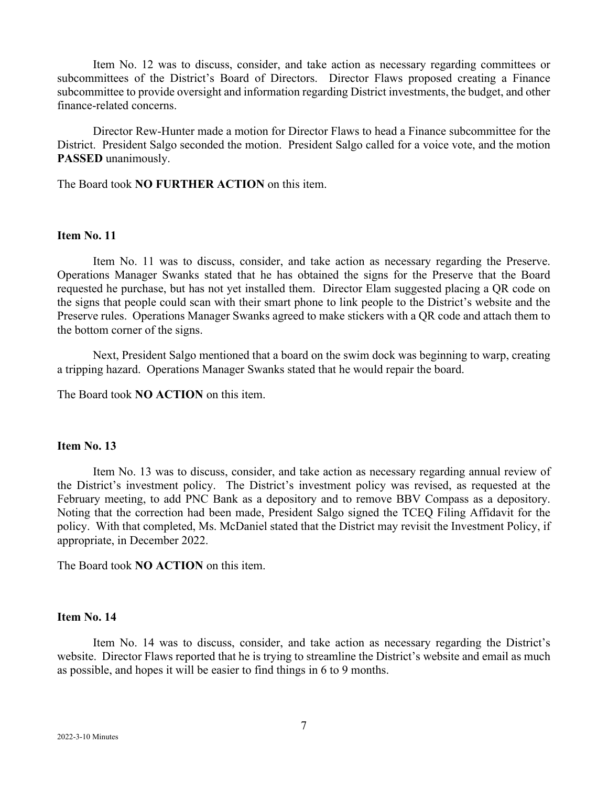Item No. 12 was to discuss, consider, and take action as necessary regarding committees or subcommittees of the District's Board of Directors. Director Flaws proposed creating a Finance subcommittee to provide oversight and information regarding District investments, the budget, and other finance-related concerns.

Director Rew-Hunter made a motion for Director Flaws to head a Finance subcommittee for the District. President Salgo seconded the motion. President Salgo called for a voice vote, and the motion **PASSED** unanimously.

The Board took **NO FURTHER ACTION** on this item.

## **Item No. 11**

Item No. 11 was to discuss, consider, and take action as necessary regarding the Preserve. Operations Manager Swanks stated that he has obtained the signs for the Preserve that the Board requested he purchase, but has not yet installed them. Director Elam suggested placing a QR code on the signs that people could scan with their smart phone to link people to the District's website and the Preserve rules. Operations Manager Swanks agreed to make stickers with a QR code and attach them to the bottom corner of the signs.

Next, President Salgo mentioned that a board on the swim dock was beginning to warp, creating a tripping hazard. Operations Manager Swanks stated that he would repair the board.

The Board took **NO ACTION** on this item.

### **Item No. 13**

Item No. 13 was to discuss, consider, and take action as necessary regarding annual review of the District's investment policy. The District's investment policy was revised, as requested at the February meeting, to add PNC Bank as a depository and to remove BBV Compass as a depository. Noting that the correction had been made, President Salgo signed the TCEQ Filing Affidavit for the policy. With that completed, Ms. McDaniel stated that the District may revisit the Investment Policy, if appropriate, in December 2022.

The Board took **NO ACTION** on this item.

#### **Item No. 14**

Item No. 14 was to discuss, consider, and take action as necessary regarding the District's website. Director Flaws reported that he is trying to streamline the District's website and email as much as possible, and hopes it will be easier to find things in 6 to 9 months.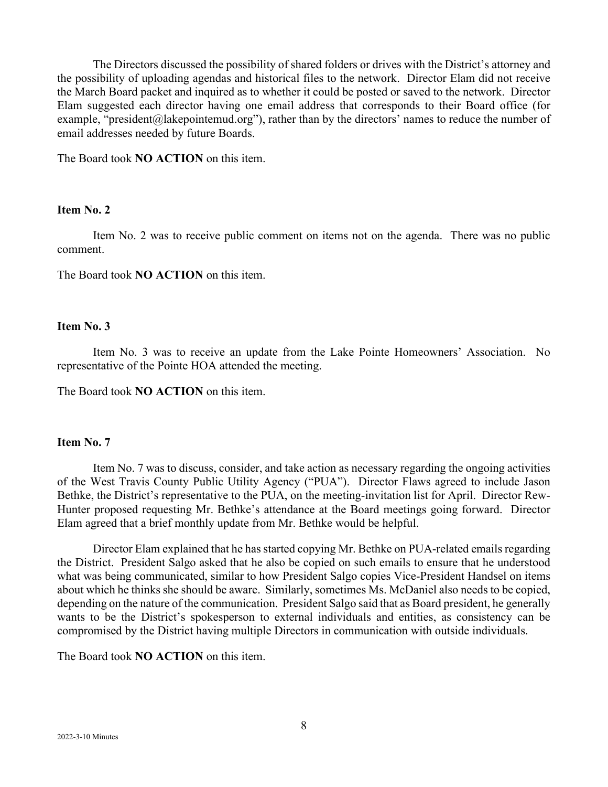The Directors discussed the possibility of shared folders or drives with the District's attorney and the possibility of uploading agendas and historical files to the network. Director Elam did not receive the March Board packet and inquired as to whether it could be posted or saved to the network. Director Elam suggested each director having one email address that corresponds to their Board office (for example, "president@lakepointemud.org"), rather than by the directors' names to reduce the number of email addresses needed by future Boards.

The Board took **NO ACTION** on this item.

## **Item No. 2**

Item No. 2 was to receive public comment on items not on the agenda. There was no public comment.

The Board took **NO ACTION** on this item.

### **Item No. 3**

Item No. 3 was to receive an update from the Lake Pointe Homeowners' Association. No representative of the Pointe HOA attended the meeting.

The Board took **NO ACTION** on this item.

## **Item No. 7**

Item No. 7 was to discuss, consider, and take action as necessary regarding the ongoing activities of the West Travis County Public Utility Agency ("PUA"). Director Flaws agreed to include Jason Bethke, the District's representative to the PUA, on the meeting-invitation list for April. Director Rew-Hunter proposed requesting Mr. Bethke's attendance at the Board meetings going forward. Director Elam agreed that a brief monthly update from Mr. Bethke would be helpful.

Director Elam explained that he has started copying Mr. Bethke on PUA-related emails regarding the District. President Salgo asked that he also be copied on such emails to ensure that he understood what was being communicated, similar to how President Salgo copies Vice-President Handsel on items about which he thinks she should be aware. Similarly, sometimes Ms. McDaniel also needs to be copied, depending on the nature of the communication. President Salgo said that as Board president, he generally wants to be the District's spokesperson to external individuals and entities, as consistency can be compromised by the District having multiple Directors in communication with outside individuals.

The Board took **NO ACTION** on this item.